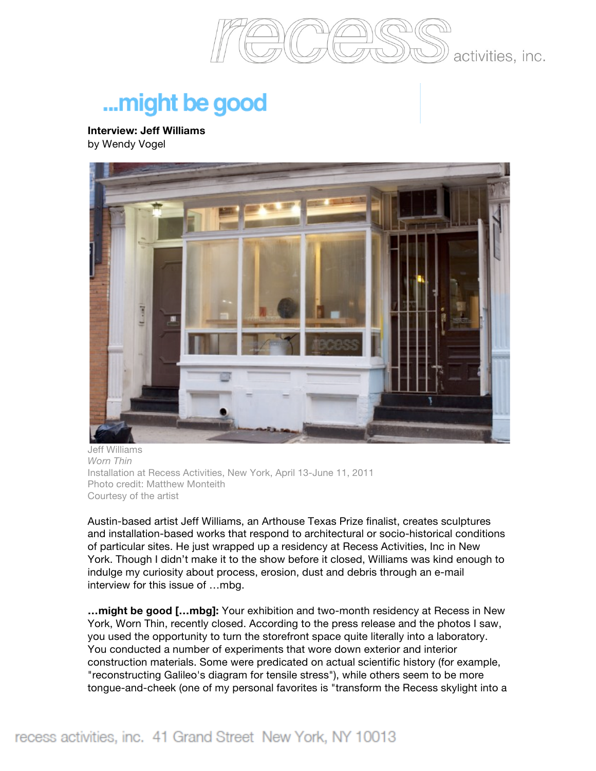

## ... might be good

**Interview: Jeff Williams** by Wendy Vogel



Jeff Williams *Worn Thin* Installation at Recess Activities, New York, April 13-June 11, 2011 Photo credit: Matthew Monteith Courtesy of the artist

Austin-based artist Jeff Williams, an Arthouse Texas Prize finalist, creates sculptures and installation-based works that respond to architectural or socio-historical conditions of particular sites. He just wrapped up a residency at Recess Activities, Inc in New York. Though I didn't make it to the show before it closed, Williams was kind enough to indulge my curiosity about process, erosion, dust and debris through an e-mail interview for this issue of …mbg.

**…might be good […mbg]:** Your exhibition and two-month residency at Recess in New York, Worn Thin, recently closed. According to the press release and the photos I saw, you used the opportunity to turn the storefront space quite literally into a laboratory. You conducted a number of experiments that wore down exterior and interior construction materials. Some were predicated on actual scientific history (for example, "reconstructing Galileo's diagram for tensile stress"), while others seem to be more tongue-and-cheek (one of my personal favorites is "transform the Recess skylight into a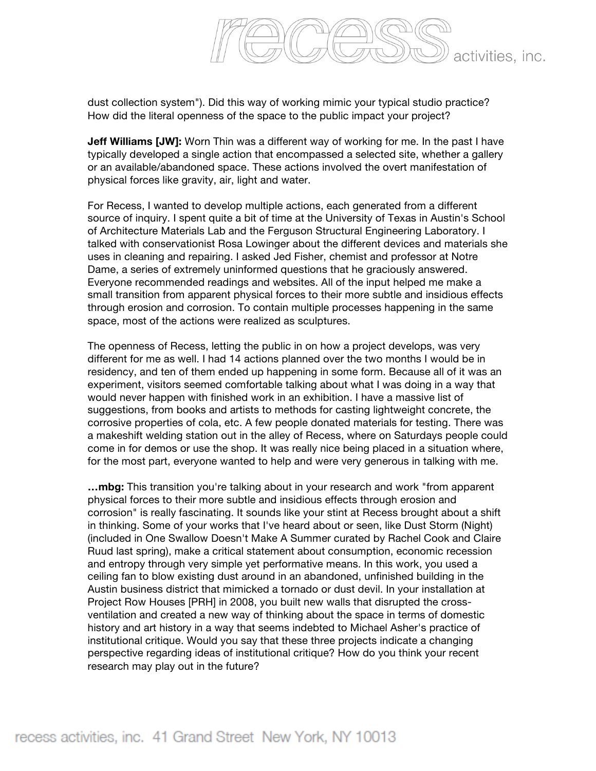

dust collection system"). Did this way of working mimic your typical studio practice? How did the literal openness of the space to the public impact your project?

**Jeff Williams [JW]:** Worn Thin was a different way of working for me. In the past I have typically developed a single action that encompassed a selected site, whether a gallery or an available/abandoned space. These actions involved the overt manifestation of physical forces like gravity, air, light and water.

For Recess, I wanted to develop multiple actions, each generated from a different source of inquiry. I spent quite a bit of time at the University of Texas in Austin's School of Architecture Materials Lab and the Ferguson Structural Engineering Laboratory. I talked with conservationist Rosa Lowinger about the different devices and materials she uses in cleaning and repairing. I asked Jed Fisher, chemist and professor at Notre Dame, a series of extremely uninformed questions that he graciously answered. Everyone recommended readings and websites. All of the input helped me make a small transition from apparent physical forces to their more subtle and insidious effects through erosion and corrosion. To contain multiple processes happening in the same space, most of the actions were realized as sculptures.

The openness of Recess, letting the public in on how a project develops, was very different for me as well. I had 14 actions planned over the two months I would be in residency, and ten of them ended up happening in some form. Because all of it was an experiment, visitors seemed comfortable talking about what I was doing in a way that would never happen with finished work in an exhibition. I have a massive list of suggestions, from books and artists to methods for casting lightweight concrete, the corrosive properties of cola, etc. A few people donated materials for testing. There was a makeshift welding station out in the alley of Recess, where on Saturdays people could come in for demos or use the shop. It was really nice being placed in a situation where, for the most part, everyone wanted to help and were very generous in talking with me.

**…mbg:** This transition you're talking about in your research and work "from apparent physical forces to their more subtle and insidious effects through erosion and corrosion" is really fascinating. It sounds like your stint at Recess brought about a shift in thinking. Some of your works that I've heard about or seen, like Dust Storm (Night) (included in One Swallow Doesn't Make A Summer curated by Rachel Cook and Claire Ruud last spring), make a critical statement about consumption, economic recession and entropy through very simple yet performative means. In this work, you used a ceiling fan to blow existing dust around in an abandoned, unfinished building in the Austin business district that mimicked a tornado or dust devil. In your installation at Project Row Houses [PRH] in 2008, you built new walls that disrupted the crossventilation and created a new way of thinking about the space in terms of domestic history and art history in a way that seems indebted to Michael Asher's practice of institutional critique. Would you say that these three projects indicate a changing perspective regarding ideas of institutional critique? How do you think your recent research may play out in the future?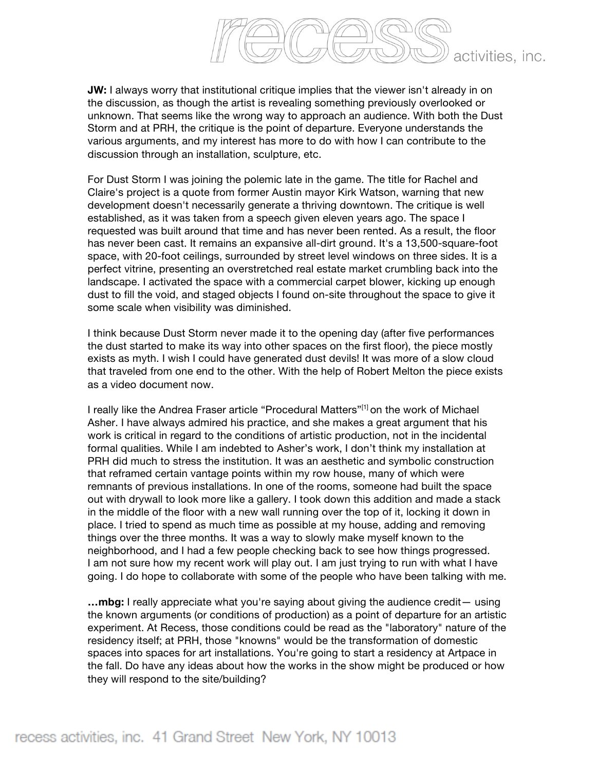

**JW:** I always worry that institutional critique implies that the viewer isn't already in on the discussion, as though the artist is revealing something previously overlooked or unknown. That seems like the wrong way to approach an audience. With both the Dust Storm and at PRH, the critique is the point of departure. Everyone understands the various arguments, and my interest has more to do with how I can contribute to the discussion through an installation, sculpture, etc.

For Dust Storm I was joining the polemic late in the game. The title for Rachel and Claire's project is a quote from former Austin mayor Kirk Watson, warning that new development doesn't necessarily generate a thriving downtown. The critique is well established, as it was taken from a speech given eleven years ago. The space I requested was built around that time and has never been rented. As a result, the floor has never been cast. It remains an expansive all-dirt ground. It's a 13,500-square-foot space, with 20-foot ceilings, surrounded by street level windows on three sides. It is a perfect vitrine, presenting an overstretched real estate market crumbling back into the landscape. I activated the space with a commercial carpet blower, kicking up enough dust to fill the void, and staged objects I found on-site throughout the space to give it some scale when visibility was diminished.

I think because Dust Storm never made it to the opening day (after five performances the dust started to make its way into other spaces on the first floor), the piece mostly exists as myth. I wish I could have generated dust devils! It was more of a slow cloud that traveled from one end to the other. With the help of Robert Melton the piece exists as a video document now.

I really like the Andrea Fraser article "Procedural Matters"<sup>[1]</sup> on the work of Michael Asher. I have always admired his practice, and she makes a great argument that his work is critical in regard to the conditions of artistic production, not in the incidental formal qualities. While I am indebted to Asher's work, I don't think my installation at PRH did much to stress the institution. It was an aesthetic and symbolic construction that reframed certain vantage points within my row house, many of which were remnants of previous installations. In one of the rooms, someone had built the space out with drywall to look more like a gallery. I took down this addition and made a stack in the middle of the floor with a new wall running over the top of it, locking it down in place. I tried to spend as much time as possible at my house, adding and removing things over the three months. It was a way to slowly make myself known to the neighborhood, and I had a few people checking back to see how things progressed. I am not sure how my recent work will play out. I am just trying to run with what I have going. I do hope to collaborate with some of the people who have been talking with me.

**…mbg:** I really appreciate what you're saying about giving the audience credit— using the known arguments (or conditions of production) as a point of departure for an artistic experiment. At Recess, those conditions could be read as the "laboratory" nature of the residency itself; at PRH, those "knowns" would be the transformation of domestic spaces into spaces for art installations. You're going to start a residency at Artpace in the fall. Do have any ideas about how the works in the show might be produced or how they will respond to the site/building?